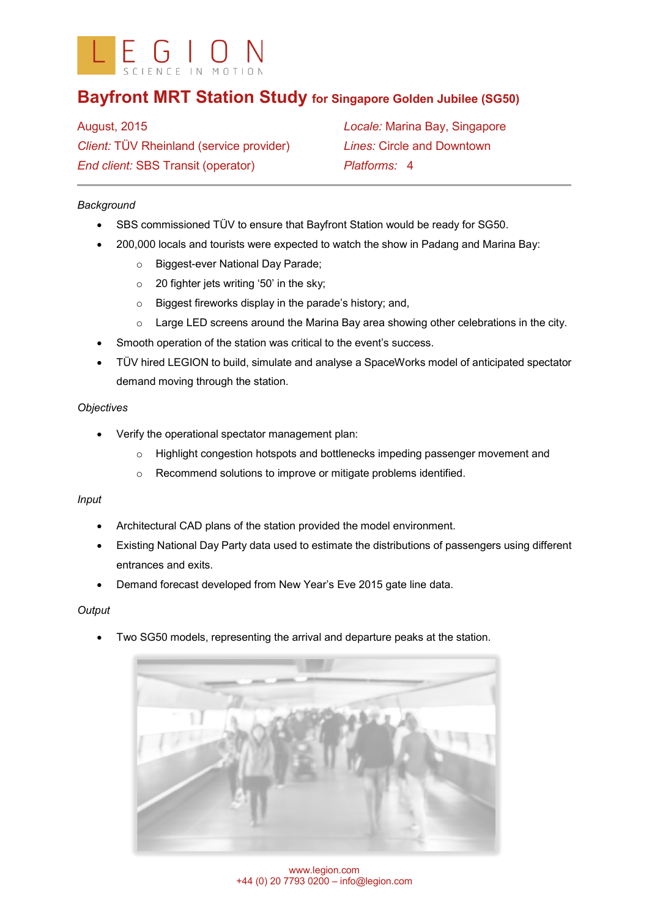

# **Bayfront MRT Station Study for Singapore Golden Jubilee (SG50)**

August, 2015 *Client:* TÜV Rheinland (service provider) *End client:* SBS Transit (operator)

*Locale:* Marina Bay, Singapore *Lines:* Circle and Downtown *Platforms:* 4

# *Background*

- SBS commissioned TÜV to ensure that Bayfront Station would be ready for SG50.
- 200,000 locals and tourists were expected to watch the show in Padang and Marina Bay:
	- o Biggest-ever National Day Parade;
	- $\circ$  20 fighter jets writing '50' in the sky;
	- o Biggest fireworks display in the parade's history; and,
	- $\circ$  Large LED screens around the Marina Bay area showing other celebrations in the city.
- Smooth operation of the station was critical to the event's success.
- TÜV hired LEGION to build, simulate and analyse a SpaceWorks model of anticipated spectator demand moving through the station.

## *Objectives*

- Verify the operational spectator management plan:
	- o Highlight congestion hotspots and bottlenecks impeding passenger movement and
	- o Recommend solutions to improve or mitigate problems identified.

## *Input*

- Architectural CAD plans of the station provided the model environment.
- Existing National Day Party data used to estimate the distributions of passengers using different entrances and exits.
- Demand forecast developed from New Year's Eve 2015 gate line data.

#### *Output*

• Two SG50 models, representing the arrival and departure peaks at the station.



www.legion.com +44 (0) 20 7793 0200 – info@legion.com